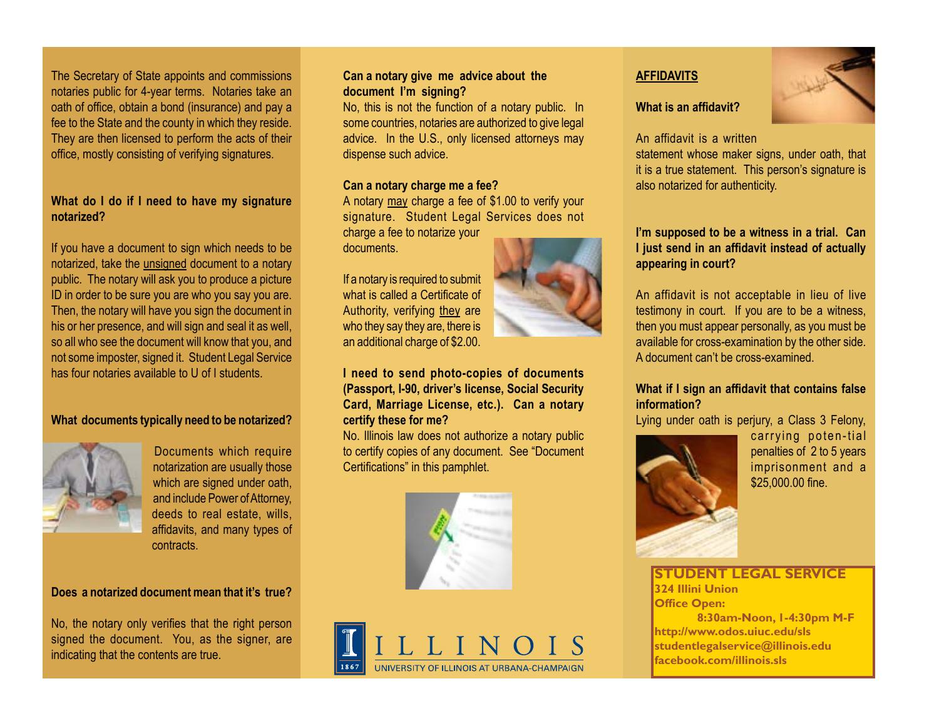The Secretary of State appoints and commissions notaries public for 4-year terms. Notaries take an oath of office, obtain a bond (insurance) and pay a fee to the State and the county in which they reside. They are then licensed to perform the acts of their office, mostly consisting of verifying signatures.

# **What do I do if I need to have my signature notarized?**

If you have a document to sign which needs to be notarized, take the unsigned document to a notary public. The notary will ask you to produce a picture ID in order to be sure you are who you say you are. Then, the notary will have you sign the document in his or her presence, and will sign and seal it as well, so all who see the document will know that you, and not some imposter, signed it. Student Legal Service has four notaries available to U of I students.

### **What documents typically need to be notarized?**



Documents which require notarization are usually those which are signed under oath, and include Power of Attorney, deeds to real estate, wills, affidavits, and many types of contracts.

# **Does a notarized document mean that it's true?**

No, the notary only verifies that the right person signed the document. You, as the signer, are indicating that the contents are true.

## **Can a notary give me advice about the document I'm signing?**

No, this is not the function of a notary public. In some countries, notaries are authorized to give legal advice. In the U.S., only licensed attorneys may dispense such advice.

#### **Can a notary charge me a fee?**

A notary may charge a fee of \$1.00 to verify your signature. Student Legal Services does not charge a fee to notarize your

documents.

If a notary is required to submit what is called a Certificate of Authority, verifying they are who they say they are, there is an additional charge of \$2.00.

**I need to send photo-copies of documents (Passport, I-90, driver's license, Social Security Card, Marriage License, etc.). Can a notary certify these for me?**

No. Illinois law does not authorize a notary public to certify copies of any document. See "Document Certifications" in this pamphlet.





# **AFFIDAVITS**

#### **What is an affidavit?**



An affidavit is a written

statement whose maker signs, under oath, that it is a true statement. This person's signature is also notarized for authenticity.

# **I'm supposed to be a witness in a trial. Can I just send in an affidavit instead of actually appearing in court?**

An affidavit is not acceptable in lieu of live testimony in court. If you are to be a witness, then you must appear personally, as you must be available for cross-examination by the other side. A document can't be cross-examined.

### **What if I sign an affidavit that contains false information?**

Lying under oath is perjury, a Class 3 Felony,



carrying poten-tial penalties of 2 to 5 years imprisonment and a \$25,000.00 fine.

**STUDENT LEGAL SERVICE 324 Illini Union Office Open:** 

**8:30am-Noon, 1-4:30pm M-F http://www.odos.uiuc.edu/sls studentlegalservice@illinois.edu facebook.com/illinois.sls**